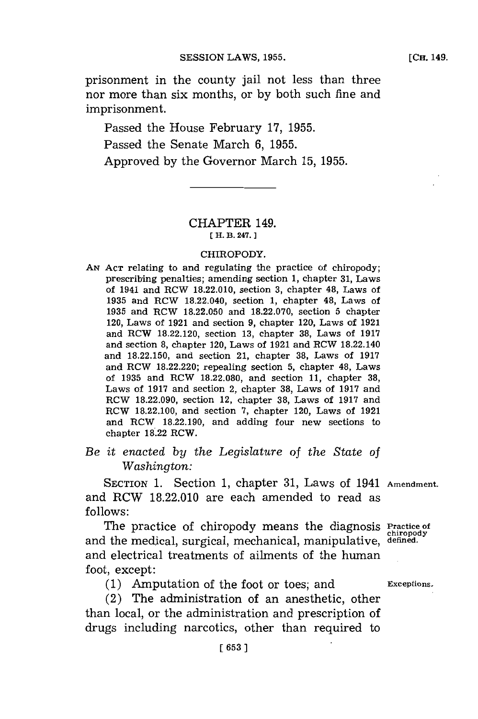prisonment in the county jail not less than three nor more than six months, or **by** both such fine and imprisonment.

Passed the House February **17, 1955.** Passed the Senate March **6, 1955.** Approved **by** the Governor March **15, 1955.**

## CHAPTER 149. **[ H. B. 247.]1**

## CHIROPODY.

**AN ACT** relating to and regulating the practice of chiropody; prescribing penalties; amending section 1, chapter 31, Laws of 1941 and RCW **18.22.010,** section **3,** chapter 48, Laws of **1935** and ROW 18.22.040, section **1,** chapter 48, Laws of **1935** and ROW **18.22.050** and **18.22.070,** section **5** chapter 120, Laws of **1921** and section **9,** chapter 120, Laws of **1921** and ROW **18.22.120,** section **13,** chapter **38,** Laws of **1917** and section **8,** chapter 120, Laws of **1921** and ROW 18.22.140 and **18.22.150,** and section 21, chapter **38,** Laws of **1917** and ROW **18.22.220;** repealing section **5,** chapter 48, Laws of **1935** and ROW **18.22.080,** and section **11,** chapter **38,** Laws of **1917** and section 2, chapter **38,** Laws of **1917** and ROW **18.22.090,** section 12, chapter **38,** Laws of **1917** and ROW **18.22.100,** and section **7,** chapter 120, Laws of **1921** and RCW **18.22.190,** and adding four new sections to chapter **18.22** ROW.

*Be it enacted by the Legislature* of *the State of Washington:*

SECTION **1.** Section **1,** chapter **31,** Laws of 1941 **Amendment.** and RCW **18.22.010** are each amended to read as **follows:**

The practice of chiropody means the diagnosis **Practice of chiropody** and the medical, surgical, mechanical, manipulative, **defined.** and electrical treatments of ailments of the human foot, except:

**(1)** Amputation of the foot or toes; and **Exceptions.**

(2) The administration of an anesthetic, other than local, or the administration and prescription of drugs including narcotics, other than required to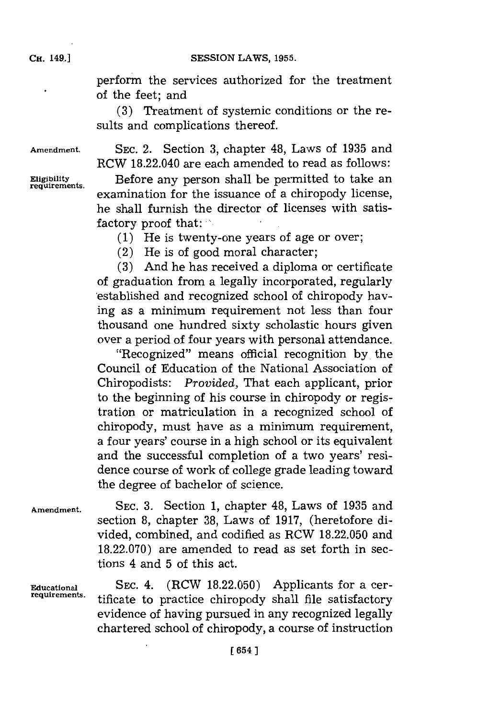CH. **49.jSESSION** LAWS, **1955.**

perform the services authorized for the treatment of the feet; and

**(3)** Treatment of systemic conditions or the results and complications thereof.

**Amendment. SEC.** 2. Section **3,** chapter 48, Laws of **1935** and RCW 18.22.040 are each amended to read as follows: **Eligibility** Before any person shall be permitted to take an **requirements.** examination for the issuance of a chiropody license, he shall furnish the director of licenses with satisfactory proof that:

**(1)** He is twenty-one years of age or over;

(2) He is of good moral character;

**(3)** And he has received a diploma or certificate of graduation from a legally incorporated, regularly 'established and recognized school of chiropody having as a minimum requirement not less than four thousand one hundred sixty scholastic hours given over a period of four years with personal attendance.

"Recognized" means official recognition **by.** the Council of Education of the National Association of Chiropodists: *Provided,* That each applicant, prior to the beginning of his course in chiropody or registration or matriculation in a recognized school of chiropody, must have as a minimum requirement, a four years' course in a high school or its equivalent and the successful completion of a two years' residence course of work of college grade leading toward the degree of bachelor of science.

**Amendment. SEC. 3.** Section **1,** chapter 48, Laws of **1935** and section **8,** chapter **38,** Laws of **1917,** (heretofore divided, combined, and codified as RCW **18.22.050** and **18.22.070)** are amended to read as set forth in sections 4 and **5** of this act.

**Eucational SEC.** 4. (RCW **18.22.050)** Applicants for a certificate to practice chiropody shall file satisfactory evidence of having pursued in any recognized legally chartered school of chiropody, a course of instruction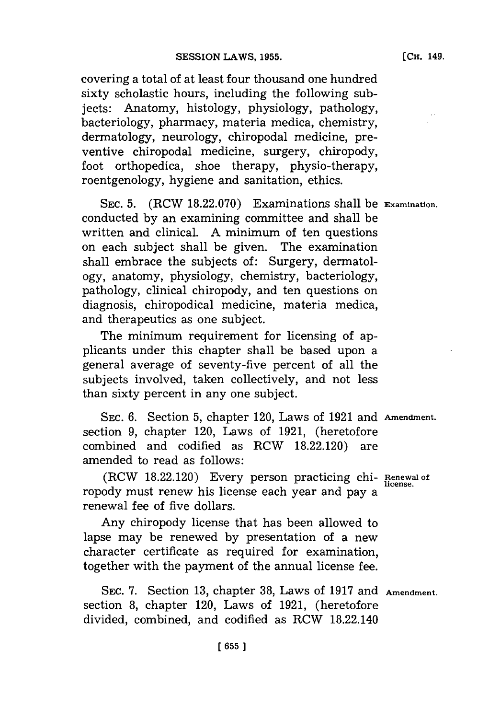covering a total of at least four thousand one hundred sixty scholastic hours, including the following subjects: Anatomy, histology, physiology, pathology, bacteriology, pharmacy, materia medica, chemistry, dermatology, neurology, chiropodal medicine, preventive chiropodal medicine, surgery, chiropody, foot orthopedica, shoe therapy, physio-therapy, roentgenology, hygiene and sanitation, ethics.

**SEC. 5.** (RCW **18.22.070)** Examinations shall be **Examination.** conducted **by** an examining committee and shall be written and clinical. **A** minimum of ten questions on each subject shall be given. The examination shall embrace the subjects of: Surgery, dermatology, anatomy, physiology, chemistry, bacteriology, pathology, clinical chiropody, and ten questions on diagnosis, chiropodical medicine, materia medica, and therapeutics as one subject.

The minimum requirement for licensing of applicants under this chapter shall be based upon a general average of seventy-five percent of all the subjects involved, taken collectively, and not less than sixty percent in any one subject.

**SEC. 6.** Section **5,** chapter 120, Laws of **1921** and **Amendment.** section **9,** chapter 120, Laws of **1921,** (heretofore combined and codified as RCW **18.22.120)** are amended to read as follows:

(ROW **18.22.120)** Every person practicing chi- **Renewal of** ropody must renew his license each year and pay a renewal fee of five dollars.

Any chiropody license that has been allowed to lapse may be renewed **by** presentation of a new character certificate as required for examination, together with the payment of the annual license fee.

**SEC. 7.** Section **13,** chapter **38,** Laws of **1917** and **Amendment.** section **8,** chapter 120, Laws of **1921,** (heretofore divided, combined, and codified as ROW 18.22.140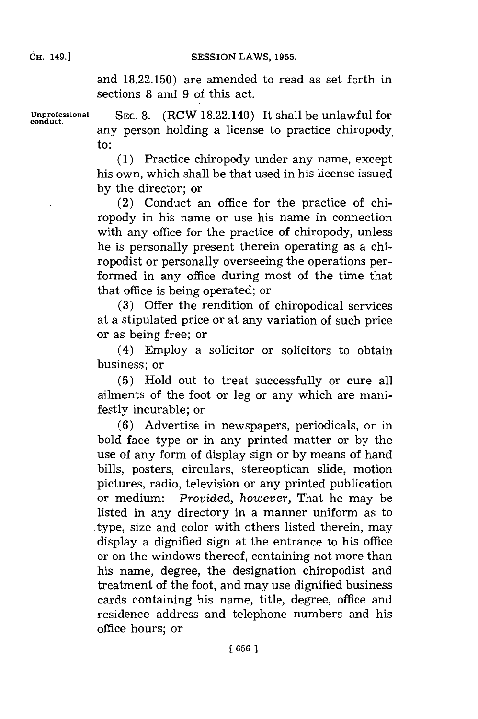CH. **49.]SESSION** LAWS, **1955.**

and **18.22.150)** are amended to read as set forth in sections **8** and **9** of this act.

**Unprofessional SEC. 8.** (RCW 18.22.140) It shall be unlawful for **conduct.** any person holding a license to practice chiropody, to:

> **(1)** Practice chiropody under any name, except his own, which shall be that used in his license issued **by** the director; or

> (2) Conduct an office for the practice of chiropody in his name or use his name in connection with any office for the practice of chiropody, unless he is personally present therein operating as a chiropodist or personally overseeing the operations performed in any office during most of the time that that office is being operated; or

> **(3)** Offer the rendition of chiropodical services at a stipulated price or at any variation of such price or as being free; or

> (4) Employ a solicitor or solicitors to obtain business; or

> **(5)** Hold out to treat successfully or cure all ailments of the foot or leg or any which are manifestly incurable; or

> **(6)** Advertise in newspapers, periodicals, or in bold face type or in any printed matter or **by** the use of any form of display sign or **by** means of hand bills, posters, circulars, stereoptican slide, motion pictures, radio, television or any printed publication or medium: *Provided, however,* That he may be listed in any directory in a manner uniform as to type, size and color with others listed therein, may display a dignified sign at the entrance to his office or on the windows thereof, containing not more than his name, degree, the designation chiropodist and treatment of the foot, and may use dignified business cards containing his name, title, degree, office and residence address and telephone numbers and his office hours; or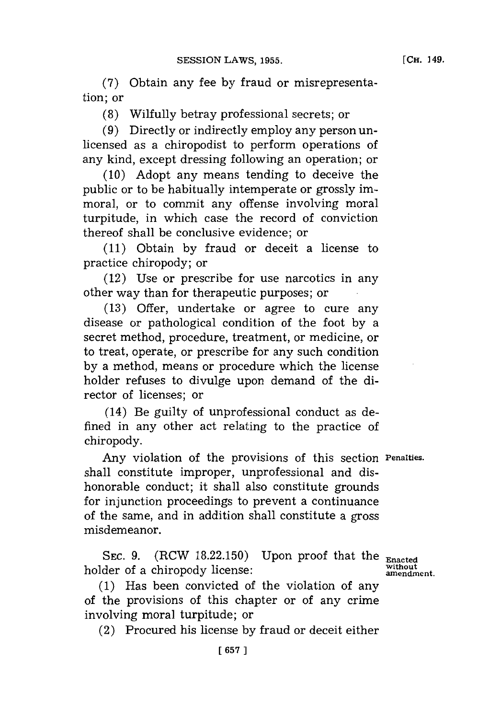**(7)** Obtain any fee **by** fraud or misrepresentation; or

**(8)** Wilfully betray professional secrets; or

**(9)** Directly or indirectly employ any person unlicensed as a chiropodist to perform operations of any kind, except dressing following an operation; or

**(10)** Adopt any means tending to deceive the public or to be habitually intemperate or grossly immoral, or to commit any offense involving moral turpitude, in which case the record of conviction thereof shall be conclusive evidence; or

**(11)** Obtain **by** fraud or deceit a license to practice chiropody; or

(12) Use or prescribe for use narcotics in any other way than for therapeutic purposes; or

**(13)** Offer, undertake or agree to cure any disease or pathological condition of the foot **by** a secret method, procedure, treatment, or medicine, or to treat, operate, or prescribe for any such condition **by** a method, means or procedure which the license holder refuses to divulge upon demand of the director of licenses; or

(14) Be guilty of unprofessional conduct as defined in any other act relating to the practice of chiropody.

Any violation of the provisions of this section **Penalties.** shall constitute improper, unprofessional and dishonorable conduct; it shall also constitute grounds for injunction proceedings to prevent a continuance of the same, and in addition shall constitute a gross misdemeanor.

SEC. 9. (RCW 18.22.150) Upon proof that the **Enacted**<br>day of a chimanody license: **without** holder of a chiropody license: **amendment.**

**(1)** Has been convicted of the violation of any of the provisions of this chapter or of any crime involving moral turpitude; or

(2) Procured his license **by** fraud or deceit either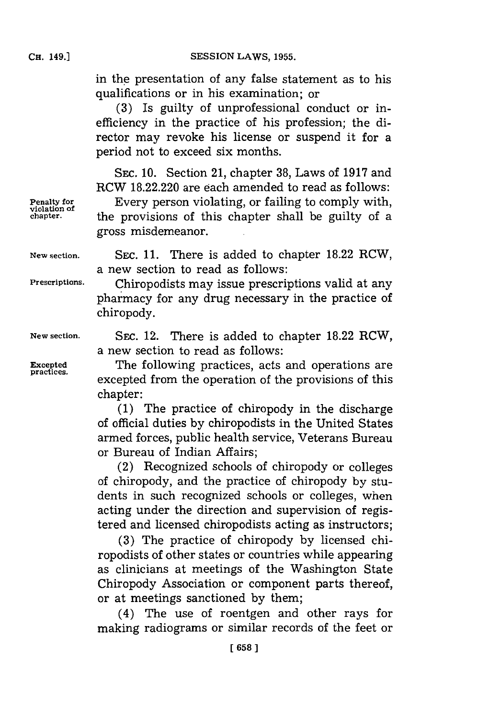**CH.** 149.1

**SESSION LAWS, 1955.** 

in the presentation of any false statement as to his qualifications or in his examination; or

**(3)** Is guilty of unprofessional conduct or inefficiency in the practice of his profession; the director may revoke his license or suspend it for a period not to exceed six months.

**SEC. 10.** Section 21, chapter **38,** Laws of **1917** and RCW **18.22.220** are each amended to read as follows:

**Penalty for Every person violating, or failing to comply with, chapter**. **the provisions of this chapter shall be guilty of a** gross misdemeanor.

**New section.** SEc. **11.** There is added to chapter **18.22** RCW, a new section to read as follows:

Prescriptions. Chiropodists may issue prescriptions valid at any pharmacy for any drug necessary in the practice of chiropody.

**New section. SEC.** 12. There is added to chapter **18.22** RCW, a new section to read as follows:

**Excepted** The following practices, acts and operations are excepted from the operation of the provisions of this chapter:

> **(1)** The practice of chiropody in the discharge of official duties **by** chiropodists in the United States armed forces, public health service, Veterans Bureau or Bureau of Indian Affairs;

> (2) Recognized schools of chiropody or colleges of chiropody, and the practice of chiropody **by** students in such recognized schools or colleges, when acting under the direction and supervision of registered and licensed chiropodists acting as instructors;

> **(3)** The practice of chiropody **by** licensed chiropodists of other states or countries while appearing as clinicians at meetings of the Washington State Chiropody Association or component parts thereof, or at meetings sanctioned **by** them;

> (4) The use of roentgen and other rays for making radiograms or similar records of the feet or